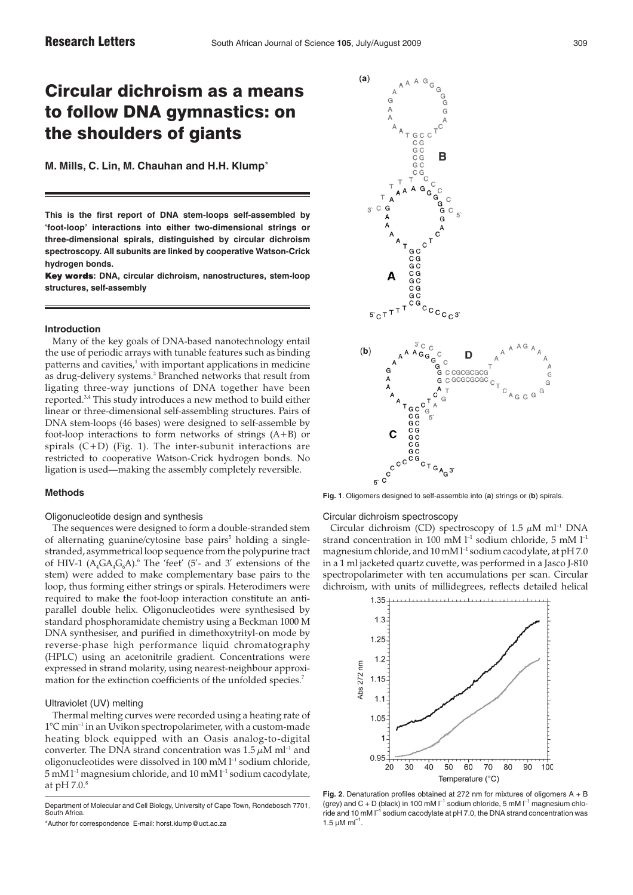**M. Mills, C. Lin, M. Chauhan and H.H. Klump**\*

**This is the first report of DNA stem-loops self-assembled by 'foot-loop' interactions into either two-dimensional strings or three-dimensional spirals, distinguished by circular dichroism spectroscopy. All subunits are linked by cooperative Watson-Crick hydrogen bonds.**

Key words: DNA, circular dichroism, nanostructures, stem-loop **structures, self-assembly**

#### **Introduction**

Many of the key goals of DNA-based nanotechnology entail the use of periodic arrays with tunable features such as binding patterns and cavities, $1$  with important applications in medicine as drug-delivery systems.<sup>2</sup> Branched networks that result from ligating three-way junctions of DNA together have been reported.3,4 This study introduces a new method to build either linear or three-dimensional self-assembling structures. Pairs of DNA stem-loops (46 bases) were designed to self-assemble by foot-loop interactions to form networks of strings (A+B) or spirals (C+D) (Fig. 1). The inter-subunit interactions are restricted to cooperative Watson-Crick hydrogen bonds. No ligation is used—making the assembly completely reversible.

# **Methods**

### Oligonucleotide design and synthesis

The sequences were designed to form a double-stranded stem of alternating guanine/cytosine base pairs<sup> $5$ </sup> holding a singlestranded, asymmetrical loop sequence from the polypurine tract of HIV-1  $(A_4GA_4G_6A)$ .<sup>6</sup> The 'feet' (5'- and 3' extensions of the stem) were added to make complementary base pairs to the loop, thus forming either strings or spirals. Heterodimers were required to make the foot-loop interaction constitute an antiparallel double helix. Oligonucleotides were synthesised by standard phosphoramidate chemistry using a Beckman 1000 M DNA synthesiser, and purified in dimethoxytrityl-on mode by reverse-phase high performance liquid chromatography (HPLC) using an acetonitrile gradient. Concentrations were expressed in strand molarity, using nearest-neighbour approximation for the extinction coefficients of the unfolded species.<sup>7</sup>

# Ultraviolet (UV) melting

Thermal melting curves were recorded using a heating rate of 1°C min–1 in an Uvikon spectropolarimeter, with a custom-made heating block equipped with an Oasis analog-to-digital converter. The DNA strand concentration was  $1.5 \mu M$  ml<sup>-1</sup> and oligonucleotides were dissolved in 100 mM l<sup>-1</sup> sodium chloride,  $5 \text{ mM }$  $l^{-1}$  magnesium chloride, and  $10 \text{ mM }$  $l^{-1}$  sodium cacodylate, at pH  $7.0$ .<sup>8</sup>



# Circular dichroism spectroscopy

Circular dichroism (CD) spectroscopy of 1.5  $\mu$ M ml<sup>-1</sup> DNA strand concentration in 100 mM  $l^{-1}$  sodium chloride, 5 mM  $l^{-1}$ magnesium chloride, and 10 mM l<sup>-1</sup> sodium cacodylate, at pH 7.0 in a 1 ml jacketed quartz cuvette, was performed in a Jasco J-810 spectropolarimeter with ten accumulations per scan. Circular dichroism, with units of millidegrees, reflects detailed helical



**Fig. 2**. Denaturation profiles obtained at 272 nm for mixtures of oligomers A + B (grey) and C + D (black) in 100 mM  $I^{-1}$  sodium chloride, 5 mM  $I^{-1}$  magnesium chloride and 10 mM  $I^{-1}$  sodium cacodylate at pH 7.0, the DNA strand concentration was 1.5  $\mu$ M m $^{-1}$ 

Department of Molecular and Cell Biology, University of Cape Town, Rondebosch 7701, South Africa.

<sup>\*</sup>Author for correspondence E-mail: horst.klump@uct.ac.za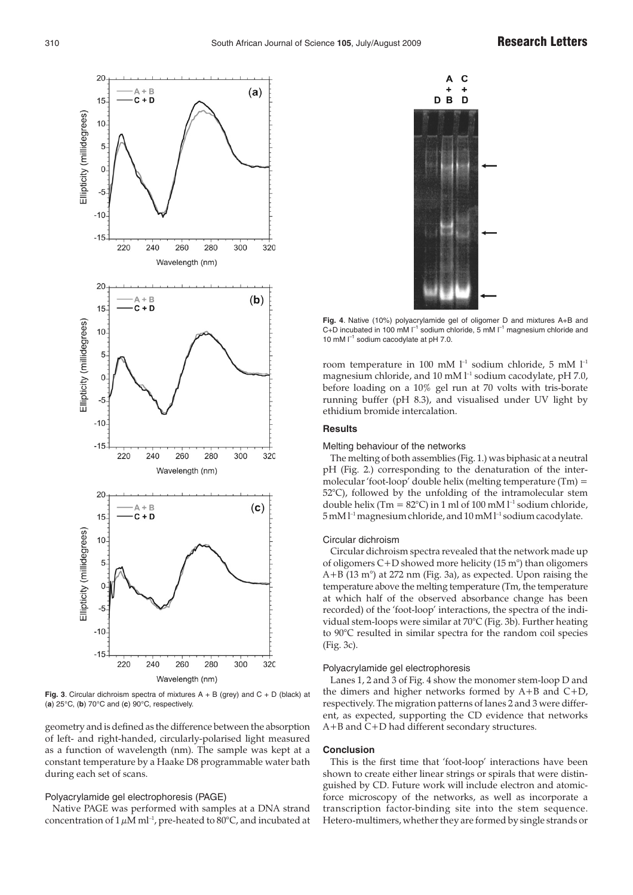

**Fig. 3**. Circular dichroism spectra of mixtures A + B (grey) and C + D (black) at (**a**) 25°C, (**b**) 70°C and (**c**) 90°C, respectively.

geometry and is defined as the difference between the absorption of left- and right-handed, circularly-polarised light measured as a function of wavelength (nm). The sample was kept at a constant temperature by a Haake D8 programmable water bath during each set of scans.

### Polyacrylamide gel electrophoresis (PAGE)

Native PAGE was performed with samples at a DNA strand concentration of  $1 \mu M$  ml<sup>-1</sup>, pre-heated to 80°C, and incubated at



**Fig. 4**. Native (10%) polyacrylamide gel of oligomer D and mixtures A+B and C+D incubated in 100 mM  $\Gamma^1$  sodium chloride, 5 mM  $\Gamma^1$  magnesium chloride and 10 mM  $\Gamma^1$  sodium cacodylate at pH 7.0.

room temperature in 100 mM  $l^{-1}$  sodium chloride, 5 mM  $l^{-1}$ magnesium chloride, and 10 mM  $l^{-1}$  sodium cacodylate, pH 7.0, before loading on a 10% gel run at 70 volts with tris-borate running buffer (pH 8.3), and visualised under UV light by ethidium bromide intercalation.

# **Results**

## Melting behaviour of the networks

The melting of both assemblies (Fig. 1.) was biphasic at a neutral pH (Fig. 2.) corresponding to the denaturation of the intermolecular 'foot-loop' double helix (melting temperature (Tm) = 52°C), followed by the unfolding of the intramolecular stem double helix (Tm =  $82^{\circ}$ C) in 1 ml of 100 mM  $l^{-1}$  sodium chloride, 5 mM l–1 magnesium chloride, and 10 mM l–1 sodium cacodylate.

### Circular dichroism

Circular dichroism spectra revealed that the network made up of oligomers C+D showed more helicity (15 m°) than oligomers A+B (13 m°) at 272 nm (Fig. 3a), as expected. Upon raising the temperature above the melting temperature (Tm, the temperature at which half of the observed absorbance change has been recorded) of the 'foot-loop' interactions, the spectra of the individual stem-loops were similar at 70°C (Fig. 3b). Further heating to 90°C resulted in similar spectra for the random coil species (Fig. 3c).

#### Polyacrylamide gel electrophoresis

Lanes 1, 2 and 3 of Fig. 4 show the monomer stem-loop D and the dimers and higher networks formed by A+B and C+D, respectively. The migration patterns of lanes 2 and 3 were different, as expected, supporting the CD evidence that networks A+B and C+D had different secondary structures.

#### **Conclusion**

This is the first time that 'foot-loop' interactions have been shown to create either linear strings or spirals that were distinguished by CD. Future work will include electron and atomicforce microscopy of the networks, as well as incorporate a transcription factor-binding site into the stem sequence. Hetero-multimers, whether they are formed by single strands or